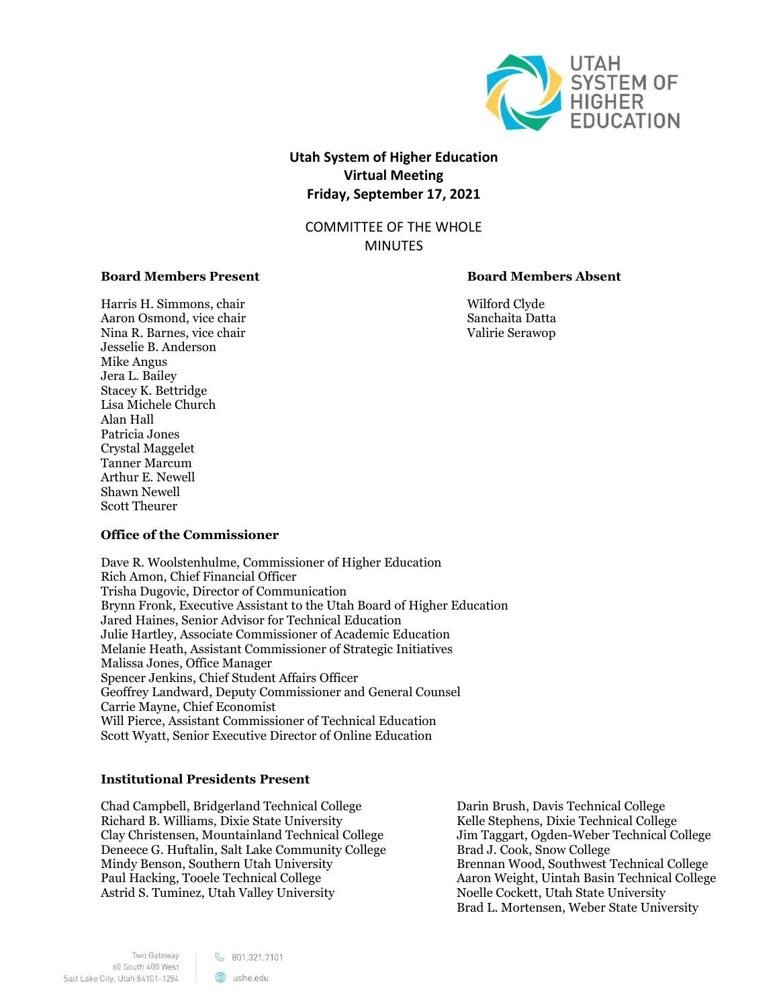

# **Utah System of Higher Education Virtual Meeting Friday, September 17, 2021**

COMMITTEE OF THE WHOLE MINUTES

# **Board Members Present Board Members Absent**

Harris H. Simmons, chair Wilford Clyde Aaron Osmond, vice chair Sanchaita Datta Datta Nina R. Barnes, vice chair Valirie Serawop Jesselie B. Anderson Mike Angus Jera L. Bailey Stacey K. Bettridge Lisa Michele Church Alan Hall Patricia Jones Crystal Maggelet Tanner Marcum Arthur E. Newell Shawn Newell Scott Theurer

# **Office of the Commissioner**

Dave R. Woolstenhulme, Commissioner of Higher Education Rich Amon, Chief Financial Officer Trisha Dugovic, Director of Communication Brynn Fronk, Executive Assistant to the Utah Board of Higher Education Jared Haines, Senior Advisor for Technical Education Julie Hartley, Associate Commissioner of Academic Education Melanie Heath, Assistant Commissioner of Strategic Initiatives Malissa Jones, Office Manager Spencer Jenkins, Chief Student Affairs Officer Geoffrey Landward, Deputy Commissioner and General Counsel Carrie Mayne, Chief Economist Will Pierce, Assistant Commissioner of Technical Education Scott Wyatt, Senior Executive Director of Online Education

# **Institutional Presidents Present**

Chad Campbell, Bridgerland Technical College Richard B. Williams, Dixie State University Clay Christensen, Mountainland Technical College Deneece G. Huftalin, Salt Lake Community College Mindy Benson, Southern Utah University Paul Hacking, Tooele Technical College Astrid S. Tuminez, Utah Valley University

Darin Brush, Davis Technical College Kelle Stephens, Dixie Technical College Jim Taggart, Ogden-Weber Technical College Brad J. Cook, Snow College Brennan Wood, Southwest Technical College Aaron Weight, Uintah Basin Technical College Noelle Cockett, Utah State University Brad L. Mortensen, Weber State University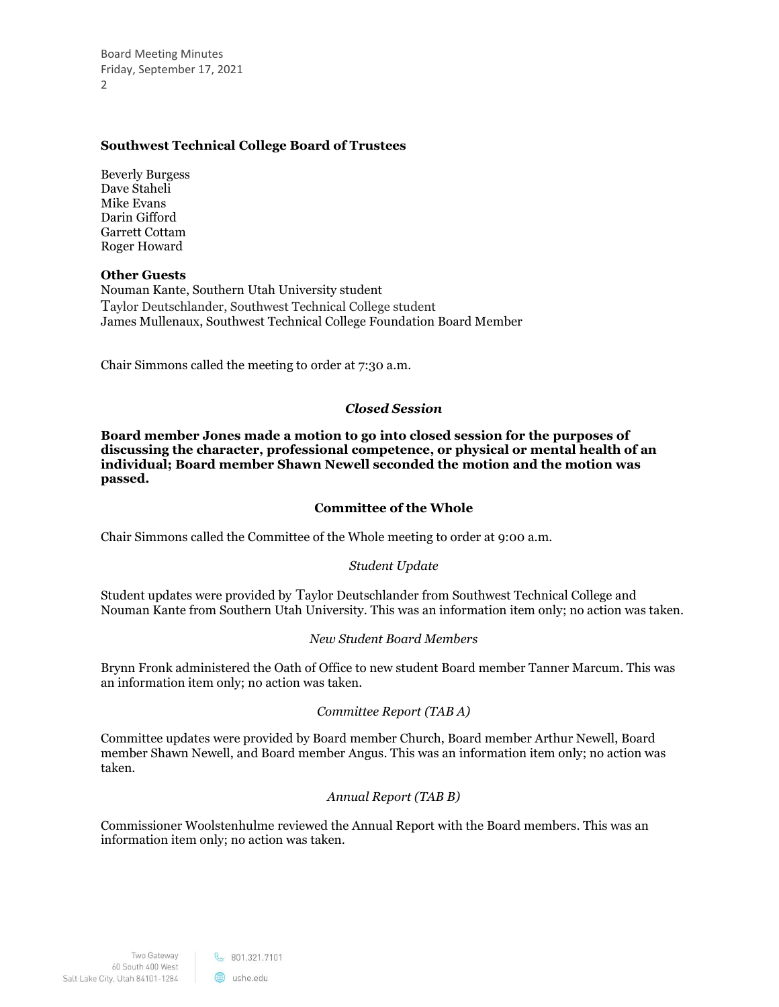Board Meeting Minutes Friday, September 17, 2021 2

# **Southwest Technical College Board of Trustees**

Beverly Burgess Dave Staheli Mike Evans Darin Gifford Garrett Cottam Roger Howard

# **Other Guests**

Nouman Kante, Southern Utah University student Taylor Deutschlander, Southwest Technical College student James Mullenaux, Southwest Technical College Foundation Board Member

Chair Simmons called the meeting to order at 7:30 a.m.

# *Closed Session*

**Board member Jones made a motion to go into closed session for the purposes of discussing the character, professional competence, or physical or mental health of an individual; Board member Shawn Newell seconded the motion and the motion was passed.**

# **Committee of the Whole**

Chair Simmons called the Committee of the Whole meeting to order at 9:00 a.m.

# *Student Update*

Student updates were provided by Taylor Deutschlander from Southwest Technical College and Nouman Kante from Southern Utah University. This was an information item only; no action was taken.

# *New Student Board Members*

Brynn Fronk administered the Oath of Office to new student Board member Tanner Marcum. This was an information item only; no action was taken.

# *Committee Report (TAB A)*

Committee updates were provided by Board member Church, Board member Arthur Newell, Board member Shawn Newell, and Board member Angus. This was an information item only; no action was taken.

# *Annual Report (TAB B)*

Commissioner Woolstenhulme reviewed the Annual Report with the Board members. This was an information item only; no action was taken.

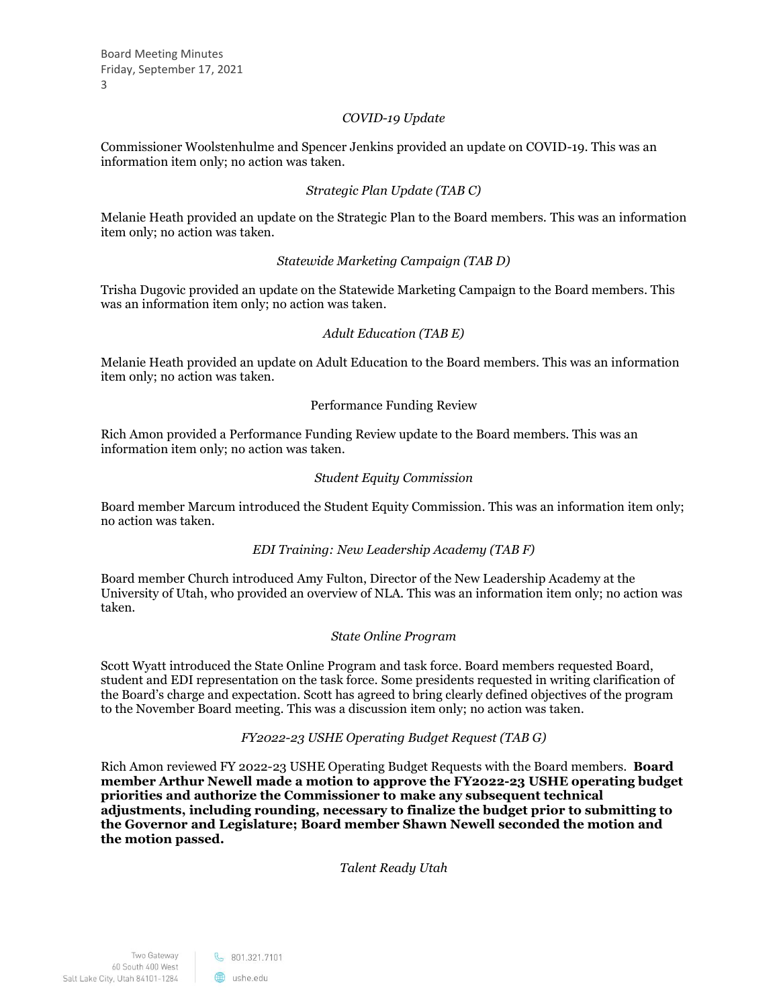Board Meeting Minutes Friday, September 17, 2021 3

# *COVID-19 Update*

Commissioner Woolstenhulme and Spencer Jenkins provided an update on COVID-19. This was an information item only; no action was taken.

# *Strategic Plan Update (TAB C)*

Melanie Heath provided an update on the Strategic Plan to the Board members. This was an information item only; no action was taken.

# *Statewide Marketing Campaign (TAB D)*

Trisha Dugovic provided an update on the Statewide Marketing Campaign to the Board members. This was an information item only; no action was taken.

# *Adult Education (TAB E)*

Melanie Heath provided an update on Adult Education to the Board members. This was an information item only; no action was taken.

# Performance Funding Review

Rich Amon provided a Performance Funding Review update to the Board members. This was an information item only; no action was taken.

# *Student Equity Commission*

Board member Marcum introduced the Student Equity Commission. This was an information item only; no action was taken.

# *EDI Training: New Leadership Academy (TAB F)*

Board member Church introduced Amy Fulton, Director of the New Leadership Academy at the University of Utah, who provided an overview of NLA. This was an information item only; no action was taken.

# *State Online Program*

Scott Wyatt introduced the State Online Program and task force. Board members requested Board, student and EDI representation on the task force. Some presidents requested in writing clarification of the Board's charge and expectation. Scott has agreed to bring clearly defined objectives of the program to the November Board meeting. This was a discussion item only; no action was taken.

# *FY2022-23 USHE Operating Budget Request (TAB G)*

Rich Amon reviewed FY 2022-23 USHE Operating Budget Requests with the Board members. **Board member Arthur Newell made a motion to approve the FY2022-23 USHE operating budget priorities and authorize the Commissioner to make any subsequent technical adjustments, including rounding, necessary to finalize the budget prior to submitting to the Governor and Legislature; Board member Shawn Newell seconded the motion and the motion passed.**

*Talent Ready Utah*